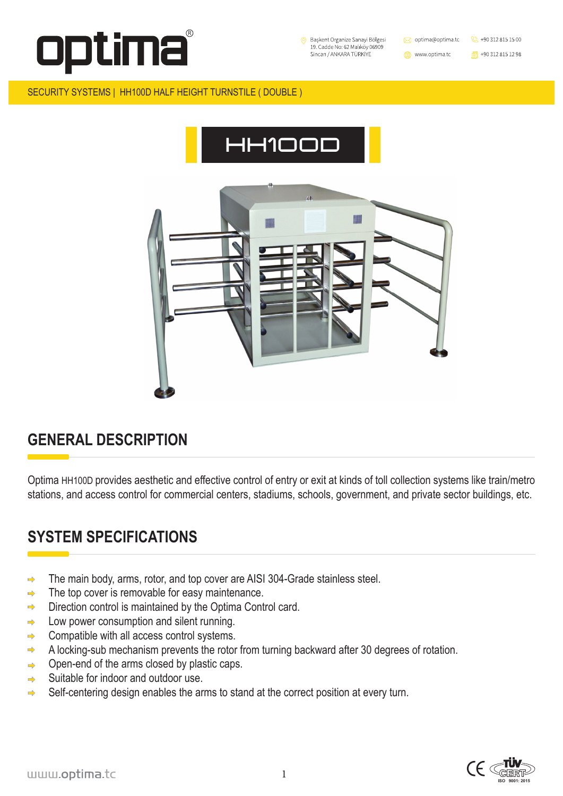



1





#### SECURITY SYSTEMS | HH100D HALF HEIGHT TURNSTILE ( DOUBLE )

# **GENERAL DESCRIPTION**

# **SYSTEM SPECIFICATIONS**

- The main body, arms, rotor, and top cover are AISI 304-Grade stainless steel.  $\Rightarrow$
- The top cover is removable for easy maintenance.  $\Rightarrow$
- Direction control is maintained by the Optima Control card.  $\Rightarrow$
- Low power consumption and silent running.  $\Rightarrow$
- Compatible with all access control systems.  $\Rightarrow$
- A locking-sub mechanism prevents the rotor from turning backward after 30 degrees of rotation.  $\Rightarrow$
- Open-end of the arms closed by plastic caps.  $\Rightarrow$
- Suitable for indoor and outdoor use.  $\Rightarrow$
- Self-centering design enables the arms to stand at the correct position at every turn.  $\Rightarrow$

Optima HH100D provides aesthetic and effective control of entry or exit at kinds of toll collection systems like train/metro stations, and access control for commercial centers, stadiums, schools, government, and private sector buildings, etc.



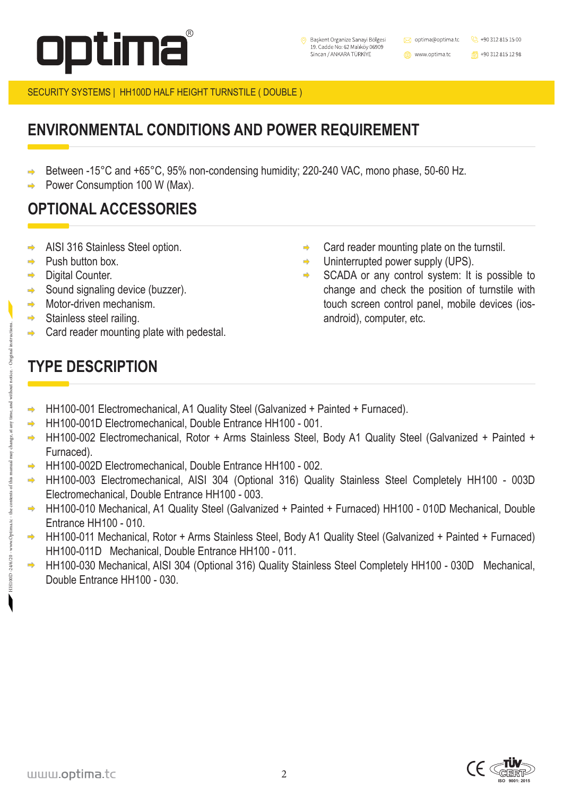





SECURITY SYSTEMS | HH100D HALF HEIGHT TURNSTILE ( DOUBLE )

 $\Rightarrow$ 

# **TYPE DESCRIPTION**

### **ENVIRONMENTAL CONDITIONS AND POWER REQUIREMENT**

### **OPTIONAL ACCESSORIES**

Between -15°C and +65°C, 95% non-condensing humidity; 220-240 VAC, mono phase, 50-60 Hz.  $\Rightarrow$ Power Consumption 100 W (Max).

- HH100-001 Electromechanical, A1 Quality Steel (Galvanized + Painted + Furnaced).
	- HH100-001D Electromechanical, Double Entrance HH100 001.
	- HH100-002 Electromechanical, Rotor + Arms Stainless Steel, Body A1 Quality Steel (Galvanized + Painted + Furnaced).
	- HH100-002D Electromechanical, Double Entrance HH100 002.
	- HH100-003 Electromechanical, AISI 304 (Optional 316) Quality Stainless Steel Completely HH100 003D Electromechanical, Double Entrance HH100 - 003.
- HH100-010 Mechanical, A1 Quality Steel (Galvanized + Painted + Furnaced) HH100 010D Mechanical, Double  $\Rightarrow$ Entrance HH100 - 010.
- HH100-011 Mechanical, Rotor + Arms Stainless Steel, Body A1 Quality Steel (Galvanized + Painted + Furnaced)  $\Rightarrow$ HH100-011D Mechanical, Double Entrance HH100 - 011.
	- HH100-030 Mechanical, AISI 304 (Optional 316) Quality Stainless Steel Completely HH100 030D Mechanical, Double Entrance HH100 - 030.

#### www.optima.tc

- AISI 316 Stainless Steel option.  $\Rightarrow$
- Push button box.
- Digital Counter.
- Sound signaling device (buzzer).
- Motor-driven mechanism.  $\Rightarrow$ 
	- Stainless steel railing.
	- Card reader mounting plate with pedestal.
- Card reader mounting plate on the turnstil.  $\Rightarrow$
- Uninterrupted power supply (UPS).  $\Rightarrow$
- SCADA or any control system: It is possible to  $\Rightarrow$ change and check the position of turnstile with touch screen control panel, mobile devices (iosandroid), computer, etc.